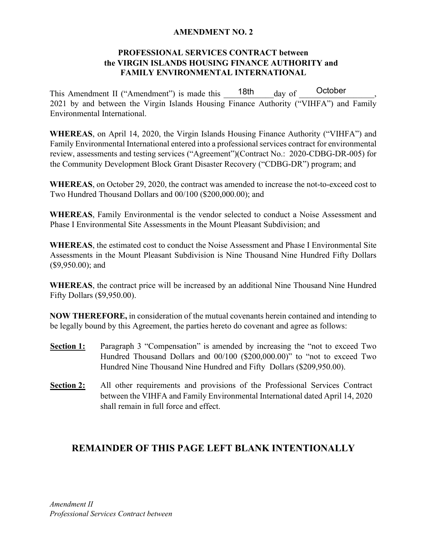## **AMENDMENT NO. 2**

## **PROFESSIONAL SERVICES CONTRACT between the VIRGIN ISLANDS HOUSING FINANCE AUTHORITY and FAMILY ENVIRONMENTAL INTERNATIONAL**

This Amendment II ("Amendment") is made this  $\frac{18th}{\text{day of}}$ 2021 by and between the Virgin Islands Housing Finance Authority ("VIHFA") and Family Environmental International. October

**WHEREAS**, on April 14, 2020, the Virgin Islands Housing Finance Authority ("VIHFA") and Family Environmental International entered into a professional services contract for environmental review, assessments and testing services ("Agreement")(Contract No.: 2020-CDBG-DR-005) for the Community Development Block Grant Disaster Recovery ("CDBG-DR") program; and

**WHEREAS**, on October 29, 2020, the contract was amended to increase the not-to-exceed cost to Two Hundred Thousand Dollars and 00/100 (\$200,000.00); and

**WHEREAS**, Family Environmental is the vendor selected to conduct a Noise Assessment and Phase I Environmental Site Assessments in the Mount Pleasant Subdivision; and

**WHEREAS**, the estimated cost to conduct the Noise Assessment and Phase I Environmental Site Assessments in the Mount Pleasant Subdivision is Nine Thousand Nine Hundred Fifty Dollars (\$9,950.00); and

**WHEREAS**, the contract price will be increased by an additional Nine Thousand Nine Hundred Fifty Dollars (\$9,950.00).

**NOW THEREFORE,** in consideration of the mutual covenants herein contained and intending to be legally bound by this Agreement, the parties hereto do covenant and agree as follows:

- **Section 1:** Paragraph 3 "Compensation" is amended by increasing the "not to exceed Two Hundred Thousand Dollars and 00/100 (\$200,000.00)" to "not to exceed Two Hundred Nine Thousand Nine Hundred and Fifty Dollars (\$209,950.00).
- **Section 2:** All other requirements and provisions of the Professional Services Contract between the VIHFA and Family Environmental International dated April 14, 2020 shall remain in full force and effect.

## **REMAINDER OF THIS PAGE LEFT BLANK INTENTIONALLY**